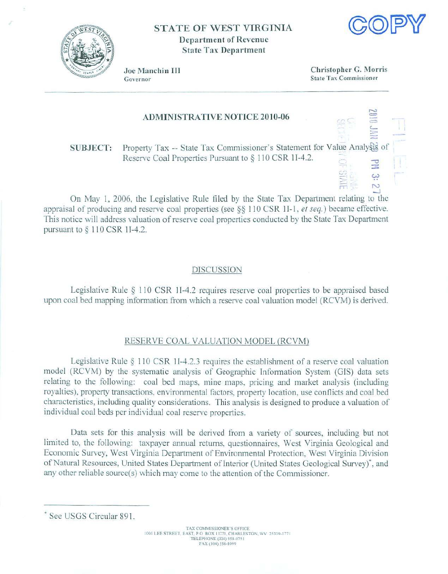

## STATE OF WEST VIRGINIA Department of Revenue State Tax Department



Joe Manchin III Governor

Christopher G. Morris State Tax Commissioner

co

r-l = =  $\overline{\phantom{0}}$ :.,;..

## ADMINISTRATIVE NOTICE 2010-06

SUBJECT: Property Tax -- State Tax Commissioner's Statement for Value Analysts of Reserve Coal Properties Pursuant to  $§$  110 CSR 1I-4.2. -

 $\sqsubseteq$ On May 1, 2006, the Legislative Rule filed by the State Tax Department relating to the appraisal of producing and reserve coal properties (see  $\S$ § 110 CSR 1I-1, *et seq.*) became effective. This notice will address valuation of reserve coal properties conducted by the State Tax Department pursuant to  $\S$  110 CSR 1I-4.2.

## DISCUSSION

Legislative Rule  $\S$  110 CSR 1I-4.2 requires reserve coal properties to be appraised based upon coal bed mapping infom1alion from which a reserve *coal* valuation model (RCVM) is derived.

## RESERVE COAL VALUATION MODEL (RCVM)

Legislative Rule  $\S$  110 CSR 1I-4.2.3 requires the establishment of a reserve coal valuation model (RCVM) by the systematic analysis of Geographic Information System (GIS) data sets relating to the following: coal bed maps, mine maps, pricing and market analysis (including royallies). propcrry transactions. environmental factors, property location. use conflicts and coal bed characteristics, including quality considerations. This analysis is designed to produce a valuation of individual coal beds per individual coal reserve properties.

Data sets for this analysis will be derived from a variety of sources, including but not limited to. the following: taxpayer annual returns, questionnaires, West Virginia Geological and Economic Survey, West Virginia Department of Environmental Protection, West Virginia Division of Natural Resources, United States Department of Interior (United States Geological Survey)<sup>\*</sup>, and any other reliable source(s) which may come to the attention of the Commissioner.

<sup>•</sup> See USGS Circular 891 .